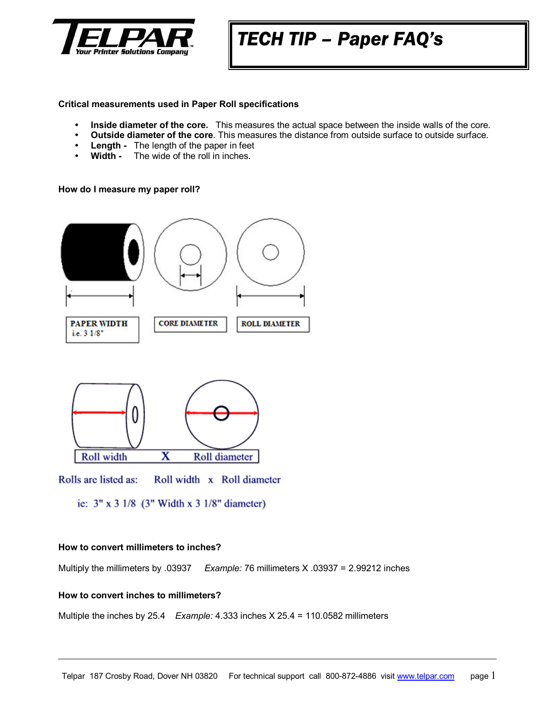

# *TECH TIP – Paper FAQ's*

## **Critical measurements used in Paper Roll specifications**

- **Inside diameter of the core.** This measures the actual space between the inside walls of the core.
- **Outside diameter of the core**. This measures the distance from outside surface to outside surface.
- Length The length of the paper in feet
- **Width -** The wide of the roll in inches.

## **How do I measure my paper roll?**



- Rolls are listed as: Roll width x Roll diameter
	- ie:  $3'' \times 3 \frac{1}{8}$  (3" Width x 3  $\frac{1}{8}$ " diameter)

#### **How to convert millimeters to inches?**

Multiply the millimeters by .03937 *Example:* 76 millimeters X .03937 = 2.99212 inches

## **How to convert inches to millimeters?**

Multiple the inches by 25.4 *Example:* 4.333 inches X 25.4 = 110.0582 millimeters